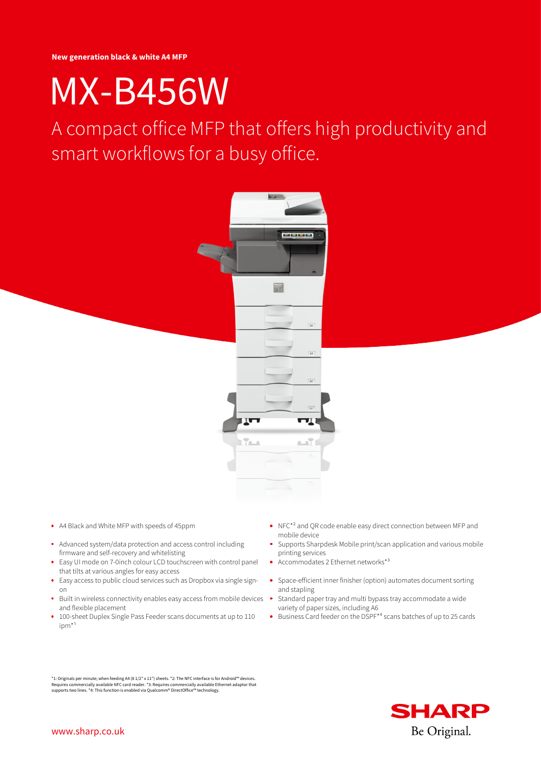# [MX-B456W](https://www.sharp.co.uk/cps/rde/xpdp/gb/MXB456W/30005)

[A compact office MFP that offers high productivity and](https://www.sharp.co.uk) smart workflows for a busy office.



- 
- Advanced system/data protection and access control including firmware and self-recovery and whitelisting
- Easy UI mode on 7-0inch colour LCD touchscreen with control panel that tilts at various angles for easy access
- Easy access to public cloud services such as Dropbox via single signon
- Built in wireless connectivity enables easy access from mobile devices and flexible placement
- 100-sheet Duplex Single Pass Feeder scans documents at up to 110  $ipm*1$
- A4 Black and White MFP with speeds of 45ppm  $NFC*<sup>2</sup>$  and QR code enable easy direct connection between MFP and mobile device
	- Supports Sharpdesk Mobile print/scan application and various mobile printing services
	- Accommodates 2 Ethernet networks\*³  $\mathbf{A}$
	- Space-efficient inner finisher (option) automates document sorting and stapling
	- Standard paper tray and multi bypass tray accommodate a wide variety of paper sizes, including A6
	- Business Card feeder on the DSPF<sup>\*4</sup> scans batches of up to 25 cards

\*1: Originals per minute; when feeding A4 (8 1/2" x 11") sheets. \*2: The NFC interface is for Android™ devices. Requires commercially available NFC card reader. \*3: Requires commercially available Ethernet adaptor that<br>supports two lines. \*4: This function is enabled via Qualcomm® DirectOffice™ technology.